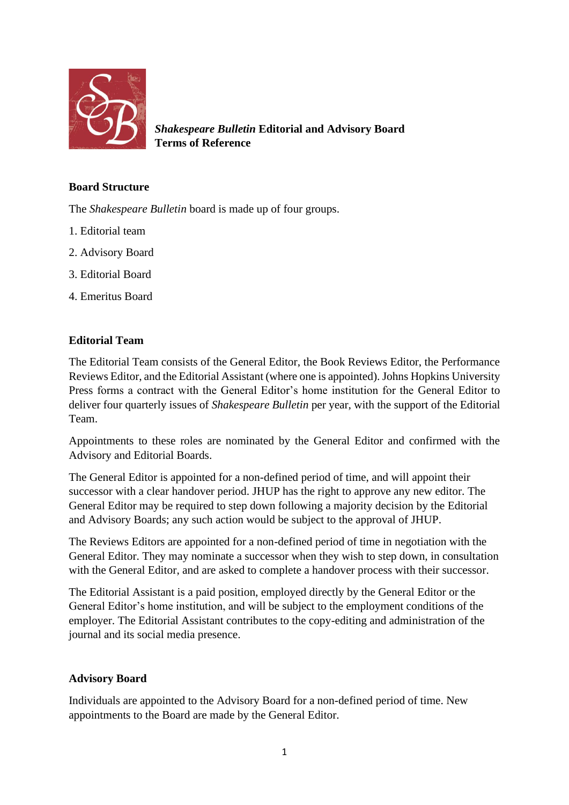

*Shakespeare Bulletin* **Editorial and Advisory Board Terms of Reference**

# **Board Structure**

The *Shakespeare Bulletin* board is made up of four groups.

- 1. Editorial team
- 2. Advisory Board
- 3. Editorial Board
- 4. Emeritus Board

### **Editorial Team**

The Editorial Team consists of the General Editor, the Book Reviews Editor, the Performance Reviews Editor, and the Editorial Assistant (where one is appointed). Johns Hopkins University Press forms a contract with the General Editor's home institution for the General Editor to deliver four quarterly issues of *Shakespeare Bulletin* per year, with the support of the Editorial Team.

Appointments to these roles are nominated by the General Editor and confirmed with the Advisory and Editorial Boards.

The General Editor is appointed for a non-defined period of time, and will appoint their successor with a clear handover period. JHUP has the right to approve any new editor. The General Editor may be required to step down following a majority decision by the Editorial and Advisory Boards; any such action would be subject to the approval of JHUP.

The Reviews Editors are appointed for a non-defined period of time in negotiation with the General Editor. They may nominate a successor when they wish to step down, in consultation with the General Editor, and are asked to complete a handover process with their successor.

The Editorial Assistant is a paid position, employed directly by the General Editor or the General Editor's home institution, and will be subject to the employment conditions of the employer. The Editorial Assistant contributes to the copy-editing and administration of the journal and its social media presence.

### **Advisory Board**

Individuals are appointed to the Advisory Board for a non-defined period of time. New appointments to the Board are made by the General Editor.